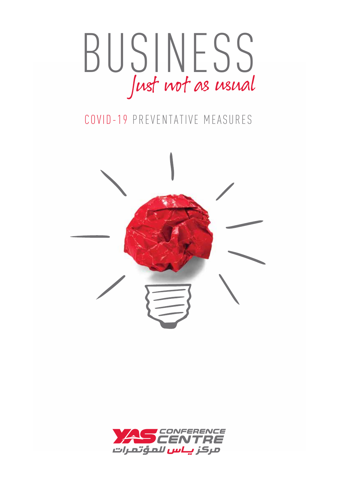

## COVID-19 PREVENTATIVE MEASURES



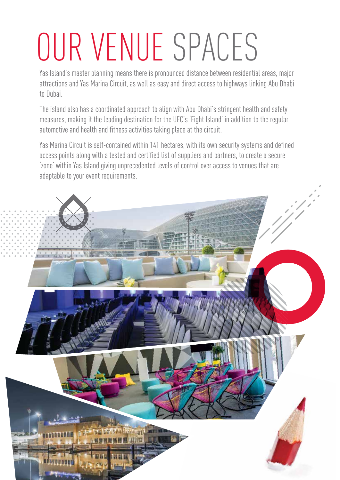## OUR VENUE SPACES

Yas Island's master planning means there is pronounced distance between residential areas, major attractions and Yas Marina Circuit, as well as easy and direct access to highways linking Abu Dhabi to Dubai.

The island also has a coordinated approach to align with Abu Dhabi's stringent health and safety measures, making it the leading destination for the UFC's 'Fight Island' in addition to the regular automotive and health and fitness activities taking place at the circuit.

Yas Marina Circuit is self-contained within 141 hectares, with its own security systems and defined access points along with a tested and certified list of suppliers and partners, to create a secure 'zone' within Yas Island giving unprecedented levels of control over access to venues that are adaptable to your event requirements.

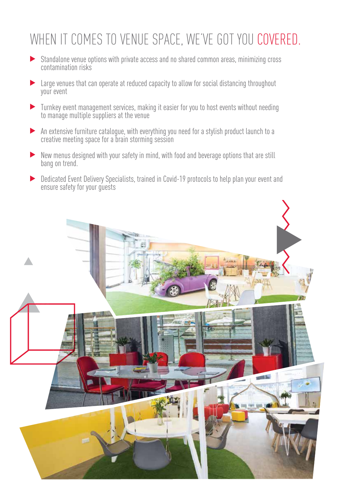## WHEN IT COMES TO VENUE SPACE, WE'VE GOT YOU COVERED.

- Standalone venue options with private access and no shared common areas, minimizing cross contamination risks
- Large venues that can operate at reduced capacity to allow for social distancing throughout your event
- Turnkey event management services, making it easier for you to host events without needing to manage multiple suppliers at the venue
- An extensive furniture catalogue, with everything you need for a stylish product launch to a creative meeting space for a brain storming session
- New menus designed with your safety in mind, with food and beverage options that are still bang on trend.
- Dedicated Event Delivery Specialists, trained in Covid-19 protocols to help plan your event and  $\blacktriangleright$ ensure safety for your guests